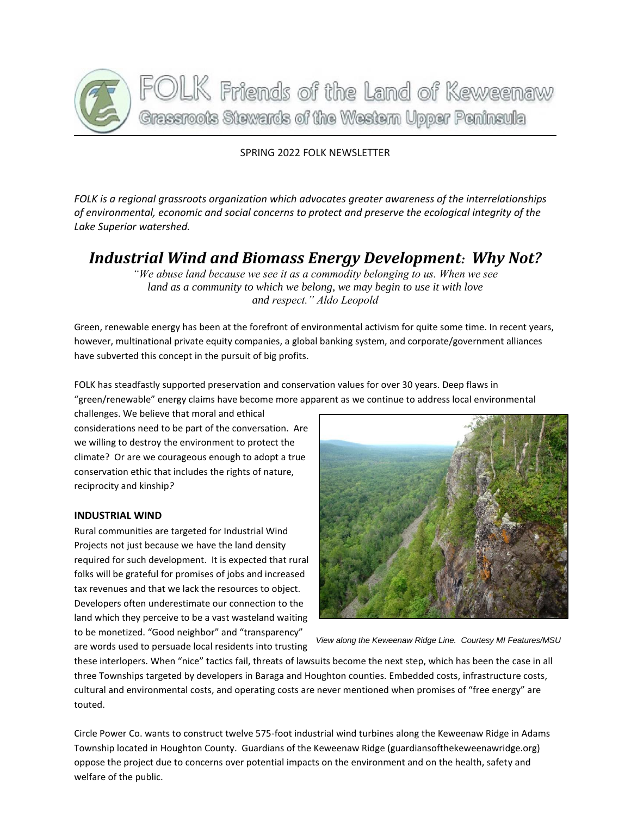

#### SPRING 2022 FOLK NEWSLETTER

*FOLK is a regional grassroots organization which advocates greater awareness of the interrelationships of environmental, economic and social concerns to protect and preserve the ecological integrity of the Lake Superior watershed.*

## *Industrial Wind and Biomass Energy Development: Why Not?*

*"We abuse land because we see it as a commodity belonging to us. When we see land as a community to which we belong, we may begin to use it with love and respect." Aldo Leopold*

Green, renewable energy has been at the forefront of environmental activism for quite some time. In recent years, however, multinational private equity companies, a global banking system, and corporate/government alliances have subverted this concept in the pursuit of big profits.

FOLK has steadfastly supported preservation and conservation values for over 30 years. Deep flaws in

"green/renewable" energy claims have become more apparent as we continue to address local environmental

challenges. We believe that moral and ethical considerations need to be part of the conversation. Are we willing to destroy the environment to protect the climate? Or are we courageous enough to adopt a true conservation ethic that includes the rights of nature, reciprocity and kinship*?*

#### **INDUSTRIAL WIND**

Rural communities are targeted for Industrial Wind Projects not just because we have the land density required for such development. It is expected that rural folks will be grateful for promises of jobs and increased tax revenues and that we lack the resources to object. Developers often underestimate our connection to the land which they perceive to be a vast wasteland waiting to be monetized. "Good neighbor" and "transparency" are words used to persuade local residents into trusting



*View along the Keweenaw Ridge Line. Courtesy MI Features/MSU*

these interlopers. When "nice" tactics fail, threats of lawsuits become the next step, which has been the case in all three Townships targeted by developers in Baraga and Houghton counties. Embedded costs, infrastructure costs, cultural and environmental costs, and operating costs are never mentioned when promises of "free energy" are touted.

Circle Power Co. wants to construct twelve 575-foot industrial wind turbines along the Keweenaw Ridge in Adams Township located in Houghton County. Guardians of the Keweenaw Ridge (guardiansofthekeweenawridge.org) oppose the project due to concerns over potential impacts on the environment and on the health, safety and welfare of the public.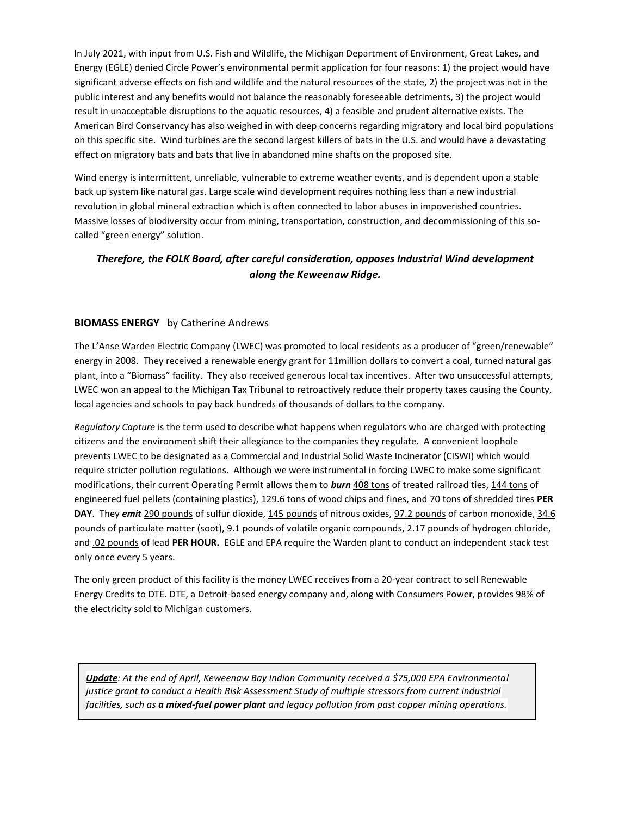In July 2021, with input from U.S. Fish and Wildlife, the Michigan Department of Environment, Great Lakes, and Energy (EGLE) denied Circle Power's environmental permit application for four reasons: 1) the project would have significant adverse effects on fish and wildlife and the natural resources of the state, 2) the project was not in the public interest and any benefits would not balance the reasonably foreseeable detriments, 3) the project would result in unacceptable disruptions to the aquatic resources, 4) a feasible and prudent alternative exists. The American Bird Conservancy has also weighed in with deep concerns regarding migratory and local bird populations on this specific site. Wind turbines are the second largest killers of bats in the U.S. and would have a devastating effect on migratory bats and bats that live in abandoned mine shafts on the proposed site.

Wind energy is intermittent, unreliable, vulnerable to extreme weather events, and is dependent upon a stable back up system like natural gas. Large scale wind development requires nothing less than a new industrial revolution in global mineral extraction which is often connected to labor abuses in impoverished countries. Massive losses of biodiversity occur from mining, transportation, construction, and decommissioning of this socalled "green energy" solution.

#### *Therefore, the FOLK Board, after careful consideration, opposes Industrial Wind development along the Keweenaw Ridge.*

#### **BIOMASS ENERGY** by Catherine Andrews

The L'Anse Warden Electric Company (LWEC) was promoted to local residents as a producer of "green/renewable" energy in 2008. They received a renewable energy grant for 11million dollars to convert a coal, turned natural gas plant, into a "Biomass" facility. They also received generous local tax incentives. After two unsuccessful attempts, LWEC won an appeal to the Michigan Tax Tribunal to retroactively reduce their property taxes causing the County, local agencies and schools to pay back hundreds of thousands of dollars to the company.

*Regulatory Capture* is the term used to describe what happens when regulators who are charged with protecting citizens and the environment shift their allegiance to the companies they regulate. A convenient loophole prevents LWEC to be designated as a Commercial and Industrial Solid Waste Incinerator (CISWI) which would require stricter pollution regulations. Although we were instrumental in forcing LWEC to make some significant modifications, their current Operating Permit allows them to *burn* 408 tons of treated railroad ties, 144 tons of engineered fuel pellets (containing plastics), 129.6 tons of wood chips and fines, and 70 tons of shredded tires **PER DAY**. They *emit* 290 pounds of sulfur dioxide, 145 pounds of nitrous oxides, 97.2 pounds of carbon monoxide, 34.6 pounds of particulate matter (soot), 9.1 pounds of volatile organic compounds, 2.17 pounds of hydrogen chloride, and .02 pounds of lead **PER HOUR.** EGLE and EPA require the Warden plant to conduct an independent stack test only once every 5 years.

The only green product of this facility is the money LWEC receives from a 20-year contract to sell Renewable Energy Credits to DTE. DTE, a Detroit-based energy company and, along with Consumers Power, provides 98% of the electricity sold to Michigan customers.

*Update: At the end of April, Keweenaw Bay Indian Community received a \$75,000 EPA Environmental justice grant to conduct a Health Risk Assessment Study of multiple stressors from current industrial facilities, such as a mixed-fuel power plant and legacy pollution from past copper mining operations.*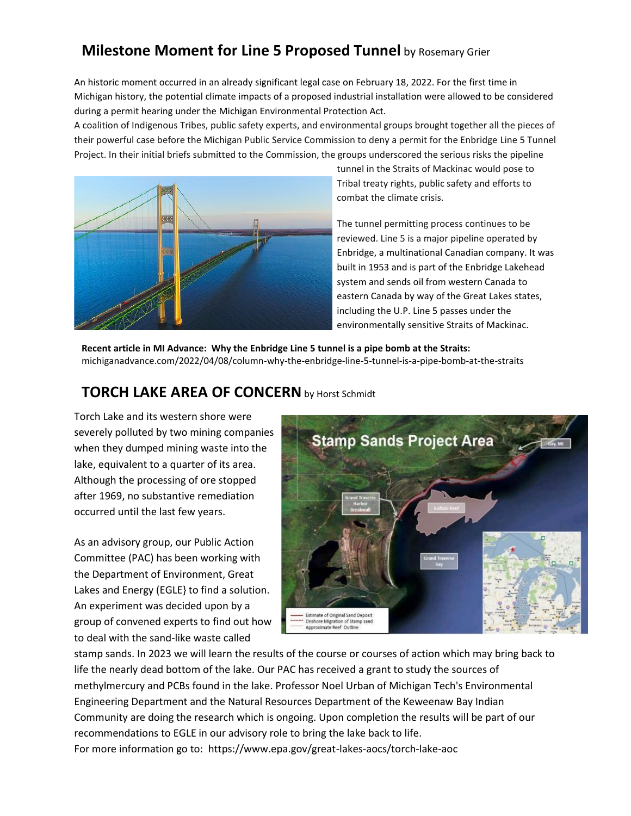# **Milestone Moment for Line 5 Proposed Tunnel** by Rosemary Grier

An historic moment occurred in an already significant legal case on February 18, 2022. For the first time in Michigan history, the potential climate impacts of a proposed industrial installation were allowed to be considered during a permit hearing under the Michigan Environmental Protection Act.

A coalition of Indigenous Tribes, public safety experts, and environmental groups brought together all the pieces of their powerful case before the Michigan Public Service Commission to deny a permit for the Enbridge Line 5 Tunnel Project. In their initial briefs submitted to the Commission, the groups underscored the serious risks the pipeline



tunnel in the Straits of Mackinac would pose to Tribal treaty rights, public safety and efforts to combat the climate crisis.

The tunnel permitting process continues to be reviewed. Line 5 is a major pipeline operated by Enbridge, a multinational Canadian company. It was built in 1953 and is part of the Enbridge Lakehead system and sends oil from western Canada to eastern Canada by way of the Great Lakes states, including the U.P. Line 5 passes under the environmentally sensitive Straits of Mackinac.

**Recent article in MI Advance: Why the Enbridge Line 5 tunnel is a pipe bomb at the Straits:**  michiganadvance.com/2022/04/08/column-why-the-enbridge-line-5-tunnel-is-a-pipe-bomb-at-the-straits

### **TORCH LAKE AREA OF CONCERN** by Horst Schmidt

Torch Lake and its western shore were severely polluted by two mining companies when they dumped mining waste into the lake, equivalent to a quarter of its area. Although the processing of ore stopped after 1969, no substantive remediation occurred until the last few years.

As an advisory group, our Public Action Committee (PAC) has been working with the Department of Environment, Great Lakes and Energy (EGLE} to find a solution. An experiment was decided upon by a group of convened experts to find out how to deal with the sand-like waste called



stamp sands. In 2023 we will learn the results of the course or courses of action which may bring back to life the nearly dead bottom of the lake. Our PAC has received a grant to study the sources of methylmercury and PCBs found in the lake. Professor Noel Urban of Michigan Tech's Environmental Engineering Department and the Natural Resources Department of the Keweenaw Bay Indian Community are doing the research which is ongoing. Upon completion the results will be part of our recommendations to EGLE in our advisory role to bring the lake back to life. For more information go to: https://www.epa.gov/great-lakes-aocs/torch-lake-aoc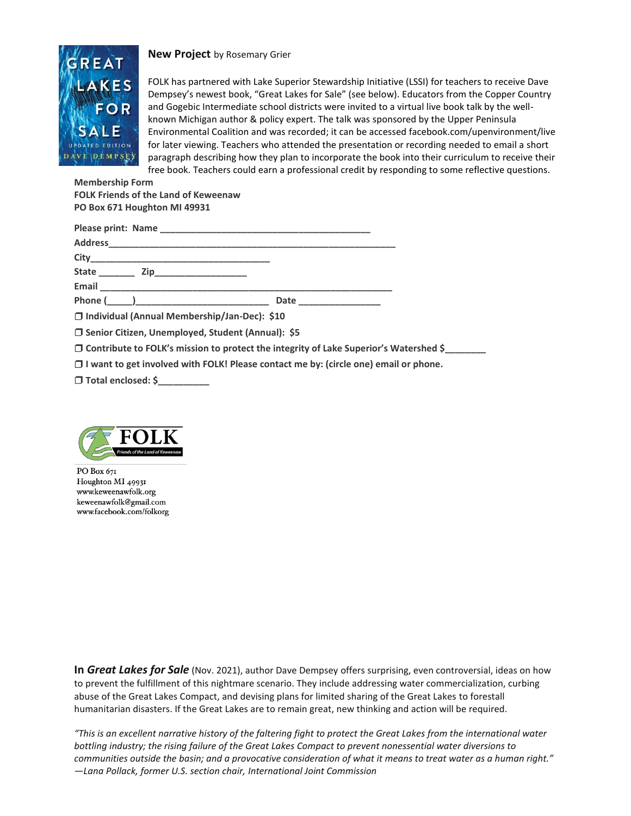

**New Project** by Rosemary Grier

FOLK has partnered with Lake Superior Stewardship Initiative (LSSI) for teachers to receive Dave Dempsey's newest book, "Great Lakes for Sale" (see below). Educators from the Copper Country and Gogebic Intermediate school districts were invited to a virtual live book talk by the wellknown Michigan author & policy expert. The talk was sponsored by the Upper Peninsula Environmental Coalition and was recorded; it can be accessed facebook.com/upenvironment/live for later viewing. Teachers who attended the presentation or recording needed to email a short paragraph describing how they plan to incorporate the book into their curriculum to receive their free book. Teachers could earn a professional credit by responding to some reflective questions.

**Membership Form FOLK Friends of the Land of Keweenaw PO Box 671 Houghton MI 49931**

|                                                     | Date _________________                                                                       |  |
|-----------------------------------------------------|----------------------------------------------------------------------------------------------|--|
| □ Individual (Annual Membership/Jan-Dec): \$10      |                                                                                              |  |
| □ Senior Citizen, Unemployed, Student (Annual): \$5 |                                                                                              |  |
|                                                     | $\Box$ Contribute to FOLK's mission to protect the integrity of Lake Superior's Watershed \$ |  |
|                                                     | $\Box$ I want to get involved with FOLK! Please contact me by: (circle one) email or phone.  |  |
| $\Box$ Total analosad: $\dot{c}$                    |                                                                                              |  |

❐ **Total enclosed: \$\_\_\_\_\_\_\_\_\_\_**



PO Box 671 Houghton MI 49931 www.keweenawfolk.org keweenawfolk@gmail.com www.facebook.com/folkorg

**In** *Great Lakes for Sale* (Nov. 2021), author Dave Dempsey offers surprising, even controversial, ideas on how to prevent the fulfillment of this nightmare scenario. They include addressing water commercialization, curbing abuse of the Great Lakes Compact, and devising plans for limited sharing of the Great Lakes to forestall humanitarian disasters. If the Great Lakes are to remain great, new thinking and action will be required.

*"This is an excellent narrative history of the faltering fight to protect the Great Lakes from the international water bottling industry; the rising failure of the Great Lakes Compact to prevent nonessential water diversions to communities outside the basin; and a provocative consideration of what it means to treat water as a human right." —Lana Pollack, former U.S. section chair, International Joint Commission*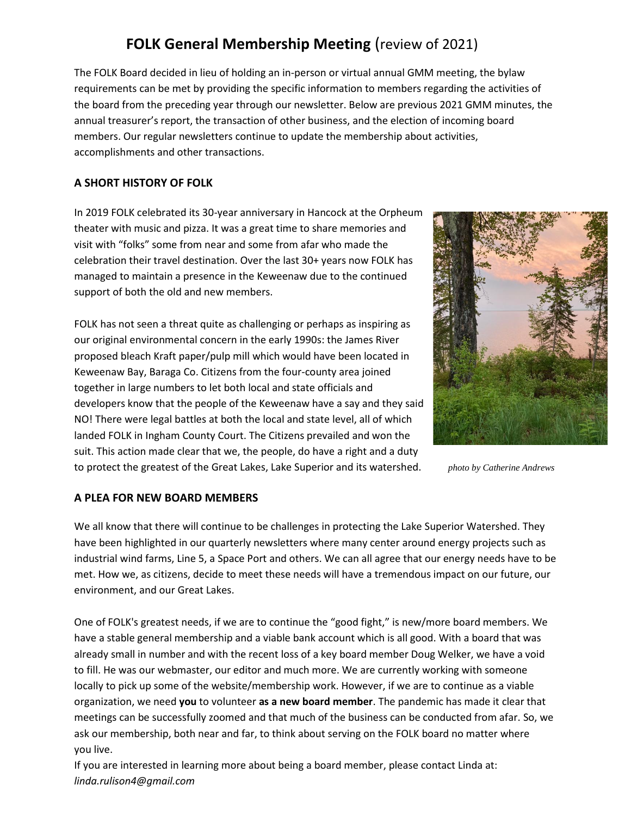# **FOLK General Membership Meeting** (review of 2021)

The FOLK Board decided in lieu of holding an in-person or virtual annual GMM meeting, the bylaw requirements can be met by providing the specific information to members regarding the activities of the board from the preceding year through our newsletter. Below are previous 2021 GMM minutes, the annual treasurer's report, the transaction of other business, and the election of incoming board members. Our regular newsletters continue to update the membership about activities, accomplishments and other transactions.

#### **A SHORT HISTORY OF FOLK**

In 2019 FOLK celebrated its 30-year anniversary in Hancock at the Orpheum theater with music and pizza. It was a great time to share memories and visit with "folks" some from near and some from afar who made the celebration their travel destination. Over the last 30+ years now FOLK has managed to maintain a presence in the Keweenaw due to the continued support of both the old and new members.

FOLK has not seen a threat quite as challenging or perhaps as inspiring as our original environmental concern in the early 1990s: the James River proposed bleach Kraft paper/pulp mill which would have been located in Keweenaw Bay, Baraga Co. Citizens from the four-county area joined together in large numbers to let both local and state officials and developers know that the people of the Keweenaw have a say and they said NO! There were legal battles at both the local and state level, all of which landed FOLK in Ingham County Court. The Citizens prevailed and won the suit. This action made clear that we, the people, do have a right and a duty to protect the greatest of the Great Lakes, Lake Superior and its watershed. *photo by Catherine Andrews*



#### **A PLEA FOR NEW BOARD MEMBERS**

We all know that there will continue to be challenges in protecting the Lake Superior Watershed. They have been highlighted in our quarterly newsletters where many center around energy projects such as industrial wind farms, Line 5, a Space Port and others. We can all agree that our energy needs have to be met. How we, as citizens, decide to meet these needs will have a tremendous impact on our future, our environment, and our Great Lakes.

One of FOLK's greatest needs, if we are to continue the "good fight," is new/more board members. We have a stable general membership and a viable bank account which is all good. With a board that was already small in number and with the recent loss of a key board member Doug Welker, we have a void to fill. He was our webmaster, our editor and much more. We are currently working with someone locally to pick up some of the website/membership work. However, if we are to continue as a viable organization, we need **you** to volunteer **as a new board member**. The pandemic has made it clear that meetings can be successfully zoomed and that much of the business can be conducted from afar. So, we ask our membership, both near and far, to think about serving on the FOLK board no matter where you live.

If you are interested in learning more about being a board member, please contact Linda at: *[linda.rulison4@gmail.com](mailto:linda.rulison4@gmail.com)*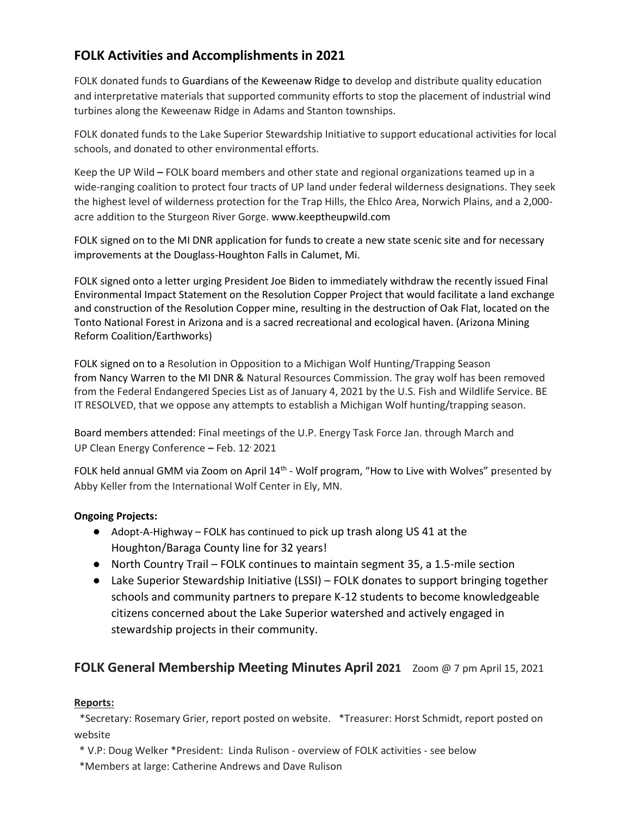## **FOLK Activities and Accomplishments in 2021**

FOLK donated funds to Guardians of the Keweenaw Ridge to develop and distribute quality education and interpretative materials that supported community efforts to stop the placement of industrial wind turbines along the Keweenaw Ridge in Adams and Stanton townships.

FOLK donated funds to the Lake Superior Stewardship Initiative to support educational activities for local schools, and donated to other environmental efforts.

Keep the UP Wild **–** FOLK board members and other state and regional organizations teamed up in a wide-ranging coalition to protect four tracts of UP land under federal wilderness designations. They seek the highest level of wilderness protection for the Trap Hills, the Ehlco Area, Norwich Plains, and a 2,000 acre addition to the Sturgeon River Gorge. [www.keeptheupwild.com](http://www.keeptheupwild.com/)

FOLK signed on to the MI DNR application for funds to create a new state scenic site and for necessary improvements at the Douglass-Houghton Falls in Calumet, Mi.

FOLK signed onto a letter urging President Joe Biden to immediately withdraw the recently issued Final Environmental Impact Statement on the Resolution Copper Project that would facilitate a land exchange and construction of the Resolution Copper mine, resulting in the destruction of Oak Flat, located on the Tonto National Forest in Arizona and is a sacred recreational and ecological haven. (Arizona Mining Reform Coalition/Earthworks)

FOLK signed on to a Resolution in Opposition to a Michigan Wolf Hunting/Trapping Season from Nancy Warren to the MI DNR & Natural Resources Commission. The gray wolf has been removed from the Federal Endangered Species List as of January 4, 2021 by the U.S. Fish and Wildlife Service. BE IT RESOLVED, that we oppose any attempts to establish a Michigan Wolf hunting/trapping season.

Board members attended: Final meetings of the U.P. Energy Task Force Jan. through March and UP Clean Energy Conference **–** Feb. 12, 2021

FOLK held annual GMM via Zoom on April 14<sup>th</sup> - Wolf program, "How to Live with Wolves" presented by Abby Keller from the International Wolf Center in Ely, MN.

#### **Ongoing Projects:**

- Adopt-A-Highway FOLK has continued to pick up trash along US 41 at the Houghton/Baraga County line for 32 years!
- North Country Trail FOLK continues to maintain segment 35, a 1.5-mile section
- Lake Superior Stewardship Initiative (LSSI) FOLK donates to support bringing together schools and community partners to prepare K-12 students to become knowledgeable citizens concerned about the Lake Superior watershed and actively engaged in stewardship projects in their community.

### **FOLK General Membership Meeting Minutes April 2021** Zoom @ 7 pm April 15, 2021

#### **Reports:**

\*Secretary: Rosemary Grier, report posted on website. \*Treasurer: Horst Schmidt, report posted on website

\* V.P: Doug Welker \*President: Linda Rulison - overview of FOLK activities - see below

\*Members at large: Catherine Andrews and Dave Rulison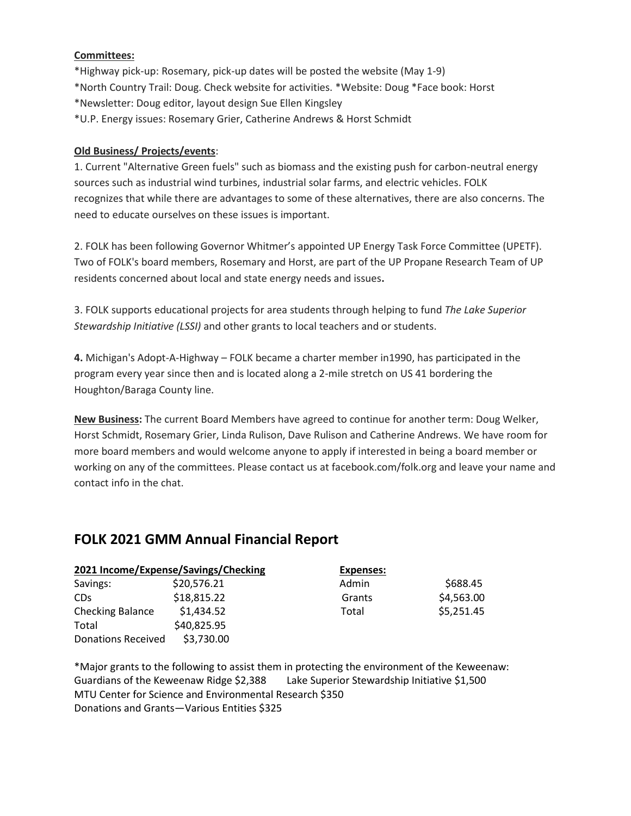#### **Committees:**

\*Highway pick-up: Rosemary, pick-up dates will be posted the website (May 1-9) \*North Country Trail: Doug. Check website for activities. \*Website: Doug \*Face book: Horst \*Newsletter: Doug editor, layout design Sue Ellen Kingsley \*U.P. Energy issues: Rosemary Grier, Catherine Andrews & Horst Schmidt

#### **Old Business/ Projects/events**:

1. Current "Alternative Green fuels" such as biomass and the existing push for carbon-neutral energy sources such as industrial wind turbines, industrial solar farms, and electric vehicles. FOLK recognizes that while there are advantages to some of these alternatives, there are also concerns. The need to educate ourselves on these issues is important.

2. FOLK has been following Governor Whitmer's appointed UP Energy Task Force Committee (UPETF). Two of FOLK's board members, Rosemary and Horst, are part of the UP Propane Research Team of UP residents concerned about local and state energy needs and issues**.**

3. FOLK supports educational projects for area students through helping to fund *The Lake Superior Stewardship Initiative (LSSI)* and other grants to local teachers and or students.

**4.** Michigan's Adopt-A-Highway – FOLK became a charter member in1990, has participated in the program every year since then and is located along a 2-mile stretch on US 41 bordering the Houghton/Baraga County line.

**New Business:** The current Board Members have agreed to continue for another term: Doug Welker, Horst Schmidt, Rosemary Grier, Linda Rulison, Dave Rulison and Catherine Andrews. We have room for more board members and would welcome anyone to apply if interested in being a board member or working on any of the committees. Please contact us at facebook.com/folk.org and leave your name and contact info in the chat.

### **FOLK 2021 GMM Annual Financial Report**

| 2021 Income/Expense/Savings/Checking |             | <b>Expenses:</b> |            |
|--------------------------------------|-------------|------------------|------------|
| Savings:                             | \$20,576.21 | Admin            | \$688.45   |
| CD <sub>S</sub>                      | \$18,815.22 | Grants           | \$4,563.00 |
| Checking Balance                     | \$1,434.52  | Total            | \$5,251.45 |
| Total                                | \$40,825.95 |                  |            |
| Donations Received                   | \$3,730.00  |                  |            |

\*Major grants to the following to assist them in protecting the environment of the Keweenaw: Guardians of the Keweenaw Ridge \$2,388 Lake Superior Stewardship Initiative \$1,500 MTU Center for Science and Environmental Research \$350 Donations and Grants—Various Entities \$325